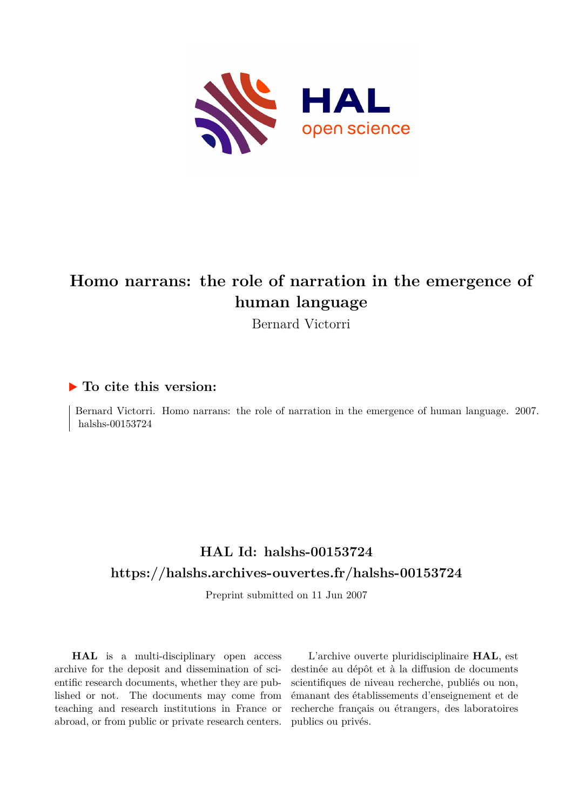

# **Homo narrans: the role of narration in the emergence of human language**

Bernard Victorri

# **To cite this version:**

Bernard Victorri. Homo narrans: the role of narration in the emergence of human language. 2007. halshs-00153724

# **HAL Id: halshs-00153724 <https://halshs.archives-ouvertes.fr/halshs-00153724>**

Preprint submitted on 11 Jun 2007

**HAL** is a multi-disciplinary open access archive for the deposit and dissemination of scientific research documents, whether they are published or not. The documents may come from teaching and research institutions in France or abroad, or from public or private research centers.

L'archive ouverte pluridisciplinaire **HAL**, est destinée au dépôt et à la diffusion de documents scientifiques de niveau recherche, publiés ou non, émanant des établissements d'enseignement et de recherche français ou étrangers, des laboratoires publics ou privés.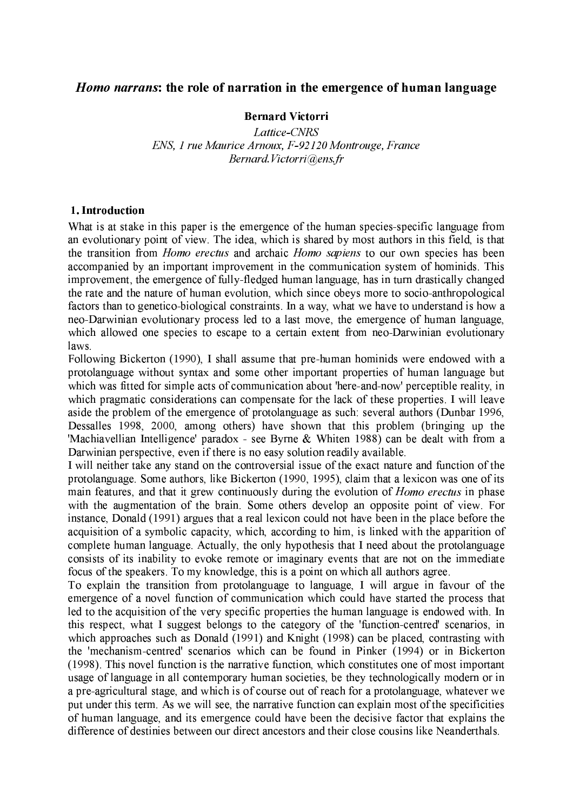## *Homo narrans:* the role of narration in the emergence of human language

#### **Bernard Victorri**

Lattice-CNRS ENS, 1 rue Maurice Arnoux, F-92120 Montrouge, France Bernard Victorri@ens.fr

#### 1. Introduction

What is at stake in this paper is the emergence of the human species-specific language from an evolutionary point of view. The idea, which is shared by most authors in this field, is that the transition from *Homo erectus* and archaic *Homo sapiens* to our own species has been accompanied by an important improvement in the communication system of hominids. This improvement, the emergence of fully-fledged human language, has in turn drastically changed the rate and the nature of human evolution, which since obeys more to socio-anthropological factors than to genetico-biological constraints. In a way, what we have to understand is how a neo-Darwinian evolutionary process led to a last move, the emergence of human language, which allowed one species to escape to a certain extent from neo-Darwinian evolutionary  $laws$ 

Following Bickerton (1990), I shall assume that pre-human hominids were endowed with a protolanguage without syntax and some other important properties of human language but which was fitted for simple acts of communication about 'here-and-now' perceptible reality, in which pragmatic considerations can compensate for the lack of these properties. I will leave aside the problem of the emergence of protolanguage as such: several authors (Dunbar 1996, Dessalles 1998, 2000, among others) have shown that this problem (bringing up the 'Machiavellian Intelligence' paradox - see Byrne & Whiten 1988) can be dealt with from a Darwinian perspective, even if there is no easy solution readily available.

I will neither take any stand on the controversial issue of the exact nature and function of the protolanguage. Some authors, like Bickerton (1990, 1995), claim that a lexicon was one of its main features, and that it grew continuously during the evolution of *Homo erectus* in phase with the augmentation of the brain. Some others develop an opposite point of view. For instance, Donald (1991) argues that a real lexicon could not have been in the place before the acquisition of a symbolic capacity, which, according to him, is linked with the apparition of complete human language. Actually, the only hypothesis that I need about the protolanguage consists of its inability to evoke remote or imaginary events that are not on the immediate focus of the speakers. To my knowledge, this is a point on which all authors agree.

To explain the transition from protolanguage to language. I will argue in favour of the emergence of a novel function of communication which could have started the process that led to the acquisition of the very specific properties the human language is endowed with. In this respect, what I suggest belongs to the category of the 'function-centred' scenarios, in which approaches such as Donald (1991) and Knight (1998) can be placed, contrasting with the 'mechanism-centred' scenarios which can be found in Pinker (1994) or in Bickerton (1998). This novel function is the narrative function, which constitutes one of most important usage of language in all contemporary human societies, be they technologically modern or in a pre-agricultural stage, and which is of course out of reach for a protolanguage, whatever we put under this term. As we will see, the narrative function can explain most of the specificities of human language, and its emergence could have been the decisive factor that explains the difference of destinies between our direct ancestors and their close cousins like Neanderthals.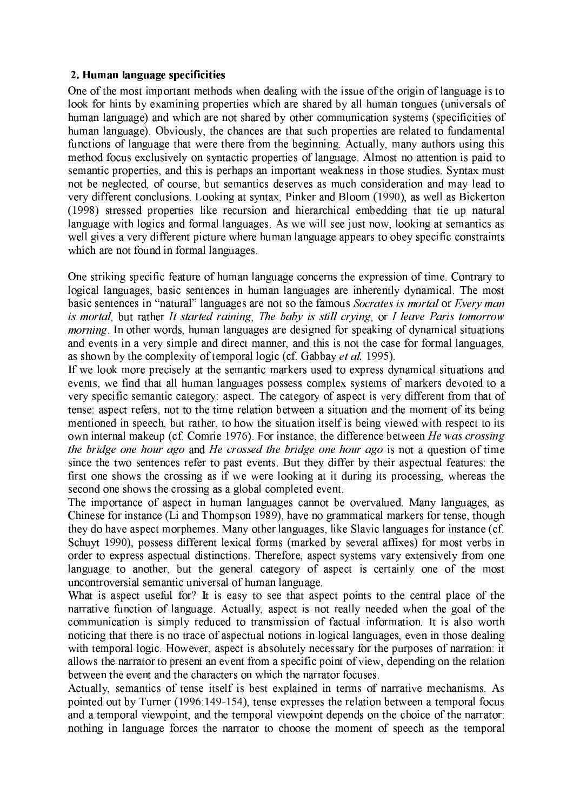### 2. Human language specificities

One of the most important methods when dealing with the issue of the origin of language is to look for hints by examining properties which are shared by all human tongues (universals of human language) and which are not shared by other communication systems (specificities of human language). Obviously, the chances are that such properties are related to fundamental functions of language that were there from the beginning. Actually, many authors using this method focus exclusively on syntactic properties of language. Almost no attention is paid to semantic properties, and this is perhaps an important weakness in those studies. Syntax must not be neglected, of course, but semantics deserves as much consideration and may lead to very different conclusions. Looking at syntax, Pinker and Bloom (1990), as well as Bickerton (1998) stressed properties like recursion and hierarchical embedding that tie up natural language with logics and formal languages. As we will see just now, looking at semantics as well gives a very different picture where human language appears to obey specific constraints which are not found in formal languages.

One striking specific feature of human language concerns the expression of time. Contrary to logical languages, basic sentences in human languages are inherently dynamical. The most basic sentences in "natural" languages are not so the famous Socrates is mortal or Every man is mortal, but rather It started raining, The baby is still crying, or I leave Paris tomorrow *morning*. In other words, human languages are designed for speaking of dynamical situations and events in a very simple and direct manner, and this is not the case for formal languages, as shown by the complexity of temporal logic (cf. Gabbay et al. 1995).

If we look more precisely at the semantic markers used to express dynamical situations and events, we find that all human languages possess complex systems of markers devoted to a very specific semantic category; aspect. The category of aspect is very different from that of tense: aspect refers, not to the time relation between a situation and the moment of its being mentioned in speech, but rather, to how the situation itself is being viewed with respect to its own internal makeup (cf. Comrie 1976). For instance, the difference between He was crossing the bridge one hour ago and He crossed the bridge one hour ago is not a question of time since the two sentences refer to past events. But they differ by their aspectual features: the first one shows the crossing as if we were looking at it during its processing, whereas the second one shows the crossing as a global completed event.

The importance of aspect in human languages cannot be overvalued. Many languages, as Chinese for instance (Li and Thompson 1989), have no grammatical markers for tense, though they do have aspect morphemes. Many other languages, like Slavic languages for instance (cf. Schuyt 1990), possess different lexical forms (marked by several affixes) for most verbs in order to express aspectual distinctions. Therefore, aspect systems vary extensively from one language to another, but the general category of aspect is certainly one of the most uncontroversial semantic universal of human language.

What is aspect useful for? It is easy to see that aspect points to the central place of the narrative function of language. Actually, aspect is not really needed when the goal of the communication is simply reduced to transmission of factual information. It is also worth noticing that there is no trace of aspectual notions in logical languages, even in those dealing with temporal logic. However, aspect is absolutely necessary for the purposes of narration: it allows the narrator to present an event from a specific point of view, depending on the relation between the event and the characters on which the narrator focuses.

Actually, semantics of tense itself is best explained in terms of narrative mechanisms. As pointed out by Turner (1996:149-154), tense expresses the relation between a temporal focus and a temporal viewpoint, and the temporal viewpoint depends on the choice of the narrator: nothing in language forces the narrator to choose the moment of speech as the temporal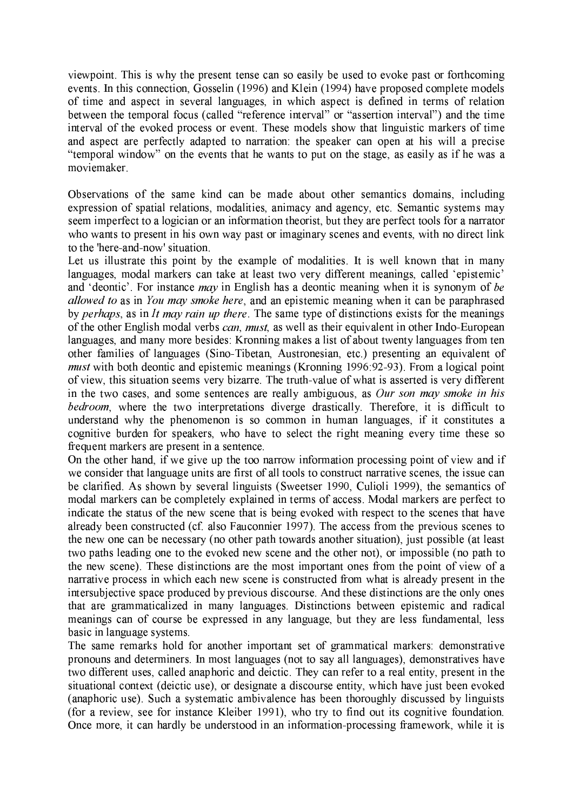viewpoint. This is why the present tense can so easily be used to evoke past or forthcoming events. In this connection, Gosselin (1996) and Klein (1994) have proposed complete models of time and aspect in several languages, in which aspect is defined in terms of relation between the temporal focus (called "reference interval" or "assertion interval") and the time interval of the evoked process or event. These models show that linguistic markers of time and aspect are perfectly adapted to narration: the speaker can open at his will a precise "temporal window" on the events that he wants to put on the stage, as easily as if he was a moviemaker.

Observations of the same kind can be made about other semantics domains, including expression of spatial relations, modalities, animacy and agency, etc. Semantic systems may seem imperfect to a logician or an information theorist, but they are perfect tools for a narrator who wants to present in his own way past or imaginary scenes and events, with no direct link to the 'here-and-now' situation.

Let us illustrate this point by the example of modalities. It is well known that in many languages, modal markers can take at least two very different meanings, called 'epistemic' and 'deontic'. For instance *may* in English has a deontic meaning when it is synonym of be allowed to as in You may smoke here, and an epistemic meaning when it can be paraphrased by perhaps, as in It may rain up there. The same type of distinctions exists for the meanings of the other English modal verbs can, must, as well as their equivalent in other Indo-European languages, and many more besides: Kronning makes a list of about twenty languages from ten other families of languages (Sino-Tibetan, Austronesian, etc.) presenting an equivalent of *must* with both deontic and epistemic meanings (Kronning 1996:92-93). From a logical point of view, this situation seems very bizarre. The truth-value of what is asserted is very different in the two cases, and some sentences are really ambiguous, as Our son may smoke in his bedroom, where the two interpretations diverge drastically. Therefore, it is difficult to understand why the phenomenon is so common in human languages, if it constitutes a cognitive burden for speakers, who have to select the right meaning every time these so frequent markers are present in a sentence.

On the other hand, if we give up the too narrow information processing point of view and if we consider that language units are first of all tools to construct narrative scenes, the issue can be clarified. As shown by several linguists (Sweetser 1990, Culioli 1999), the semantics of modal markers can be completely explained in terms of access. Modal markers are perfect to indicate the status of the new scene that is being evoked with respect to the scenes that have already been constructed (cf. also Fauconnier 1997). The access from the previous scenes to the new one can be necessary (no other path towards another situation), just possible (at least two paths leading one to the evoked new scene and the other not), or impossible (no path to the new scene). These distinctions are the most important ones from the point of view of a narrative process in which each new scene is constructed from what is already present in the intersubjective space produced by previous discourse. And these distinctions are the only ones that are grammaticalized in many languages. Distinctions between epistemic and radical meanings can of course be expressed in any language, but they are less fundamental, less basic in language systems.

The same remarks hold for another important set of grammatical markers: demonstrative pronouns and determiners. In most languages (not to say all languages), demonstratives have two different uses, called anaphoric and deictic. They can refer to a real entity, present in the situational context (deictic use), or designate a discourse entity, which have just been evoked (anaphoric use). Such a systematic ambivalence has been thoroughly discussed by linguists (for a review, see for instance Kleiber 1991), who try to find out its cognitive foundation. Once more, it can hardly be understood in an information-processing framework, while it is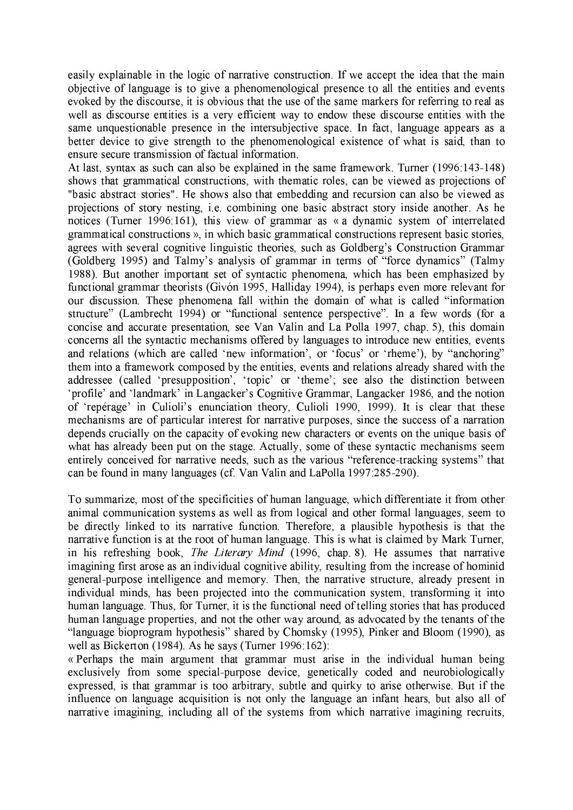easily explainable in the logic of narrative construction. If we accept the idea that the main objective of language is to give a phenomenological presence to all the entities and events evoked by the discourse, it is obvious that the use of the same markers for referring to real as well as discourse entities is a very efficient way to endow these discourse entities with the same unquestionable presence in the intersubjective space. In fact, language appears as a better device to give strength to the phenomenological existence of what is said, than to ensure secure transmission of factual information.

At last, syntax as such can also be explained in the same framework. Turner (1996:143-148) shows that grammatical constructions, with thematic roles, can be viewed as projections of "basic abstract stories". He shows also that embedding and recursion can also be viewed as projections of story nesting, i.e. combining one basic abstract story inside another. As he notices (Turner 1996:161), this view of grammar as « a dynamic system of interrelated grammatical constructions », in which basic grammatical constructions represent basic stories, agrees with several cognitive linguistic theories, such as Goldberg's Construction Grammar (Goldberg 1995) and Talmy's analysis of grammar in terms of "force dynamics" (Talmy 1988). But another important set of syntactic phenomena, which has been emphasized by functional grammar theorists (Givón 1995, Halliday 1994), is perhaps even more relevant for our discussion. These phenomena fall within the domain of what is called "information" structure" (Lambrecht 1994) or "functional sentence perspective". In a few words (for a concise and accurate presentation, see Van Valin and La Polla 1997, chap. 5), this domain concerns all the syntactic mechanisms offered by languages to introduce new entities, events and relations (which are called 'new information', or 'focus' or 'rheme'), by "anchoring" them into a framework composed by the entities, events and relations already shared with the addressee (called 'presupposition', 'topic' or 'theme'; see also the distinction between 'profile' and 'landmark' in Langacker's Cognitive Grammar, Langacker 1986, and the notion of 'repérage' in Culioli's enunciation theory, Culioli 1990, 1999). It is clear that these mechanisms are of particular interest for narrative purposes, since the success of a narration depends crucially on the capacity of evoking new characters or events on the unique basis of what has already been put on the stage. Actually, some of these syntactic mechanisms seem entirely conceived for narrative needs, such as the various "reference-tracking systems" that can be found in many languages (cf. Van Valin and LaPolla 1997:285-290).

To summarize, most of the specificities of human language, which differentiate it from other animal communication systems as well as from logical and other formal languages, seem to be directly linked to its narrative function. Therefore, a plausible hypothesis is that the narrative function is at the root of human language. This is what is claimed by Mark Turner, in his refreshing book, *The Literary Mind* (1996, chap 8). He assumes that narrative imagining first arose as an individual cognitive ability, resulting from the increase of hominid general-purpose intelligence and memory. Then, the narrative structure, already present in individual minds, has been projected into the communication system, transforming it into human language. Thus, for Turner, it is the functional need of telling stories that has produced human language properties, and not the other way around, as advocated by the tenants of the "language bioprogram hypothesis" shared by Chomsky (1995), Pinker and Bloom (1990), as well as Bickerton (1984). As he says (Turner 1996:162):

« Perhaps the main argument that grammar must arise in the individual human being exclusively from some special-purpose device, genetically coded and neurobiologically expressed, is that grammar is too arbitrary, subtle and quirky to arise otherwise. But if the influence on language acquisition is not only the language an infant hears, but also all of narrative imagining, including all of the systems from which narrative imagining recruits,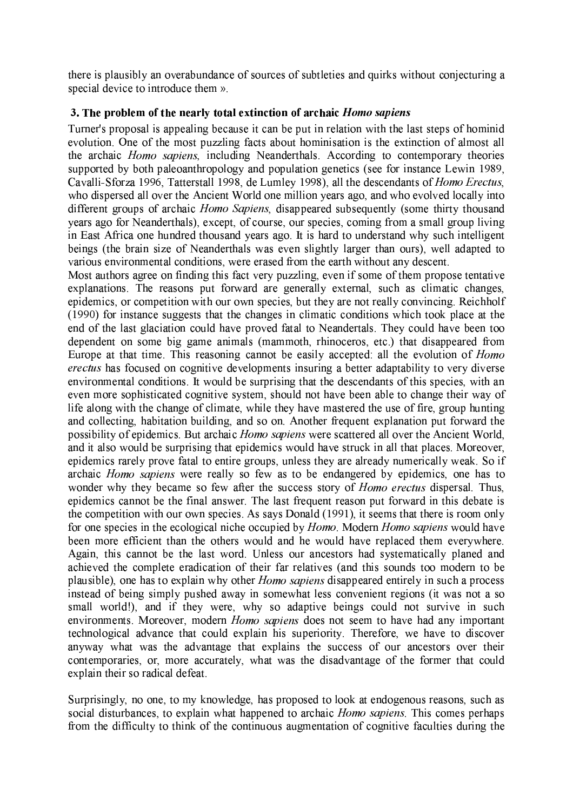there is plausibly an overabundance of sources of subtleties and quirks without conjecturing a special device to introduce them ».

# 3. The problem of the nearly total extinction of archaic *Homo sapiens*

Turner's proposal is appealing because it can be put in relation with the last steps of hominid evolution. One of the most puzzling facts about hominisation is the extinction of almost all the archaic *Homo sapiens*, including Neanderthals. According to contemporary theories supported by both paleoanthropology and population genetics (see for instance Lewin 1989, Cavalli-Sforza 1996, Tatterstall 1998, de Lumley 1998), all the descendants of Homo Erectus, who dispersed all over the Ancient World one million years ago, and who evolved locally into different groups of archaic *Homo Sapiens*, disappeared subsequently (some thirty thousand years ago for Neanderthals), except, of course, our species, coming from a small group living in East Africa one hundred thousand years ago. It is hard to understand why such intelligent beings (the brain size of Neanderthals was even slightly larger than ours), well adapted to various environmental conditions, were erased from the earth without any descent.

Most authors agree on finding this fact very puzzling, even if some of them propose tentative explanations. The reasons put forward are generally external, such as climatic changes, epidemics, or competition with our own species, but they are not really convincing. Reichholf (1990) for instance suggests that the changes in climatic conditions which took place at the end of the last glaciation could have proved fatal to Neandertals. They could have been too dependent on some big game animals (mammoth, rhinoceros, etc.) that disappeared from Europe at that time. This reasoning cannot be easily accepted: all the evolution of *Homo erectus* has focused on cognitive developments insuring a better adaptability to very diverse environmental conditions. It would be surprising that the descendants of this species, with an even more sophisticated cognitive system, should not have been able to change their way of life along with the change of climate, while they have mastered the use of fire, group hunting and collecting, habitation building, and so on. Another frequent explanation put forward the possibility of epidemics. But archaic *Homo sapiens* were scattered all over the Ancient World, and it also would be surprising that epidemics would have struck in all that places. Moreover, epidemics rarely prove fatal to entire groups, unless they are already numerically weak. So if archaic *Homo sapiens* were really so few as to be endangered by epidemics, one has to wonder why they became so few after the success story of *Homo erectus* dispersal. Thus, epidemics cannot be the final answer. The last frequent reason put forward in this debate is the competition with our own species. As says Donald (1991), it seems that there is room only for one species in the ecological niche occupied by *Homo*. Modern *Homo sapiens* would have been more efficient than the others would and he would have replaced them everywhere. Again, this cannot be the last word. Unless our ancestors had systematically planed and achieved the complete eradication of their far relatives (and this sounds too modern to be plausible), one has to explain why other *Homo sapiens* disappeared entirely in such a process instead of being simply pushed away in somewhat less convenient regions (it was not a so small world!), and if they were, why so adaptive beings could not survive in such environments. Moreover, modern *Homo sapiens* does not seem to have had any important technological advance that could explain his superiority. Therefore, we have to discover anyway what was the advantage that explains the success of our ancestors over their contemporaries, or, more accurately, what was the disadvantage of the former that could explain their so radical defeat.

Surprisingly, no one, to my knowledge, has proposed to look at endogenous reasons, such as social disturbances, to explain what happened to archaic *Homo sapiens*. This comes perhaps from the difficulty to think of the continuous augmentation of cognitive faculties during the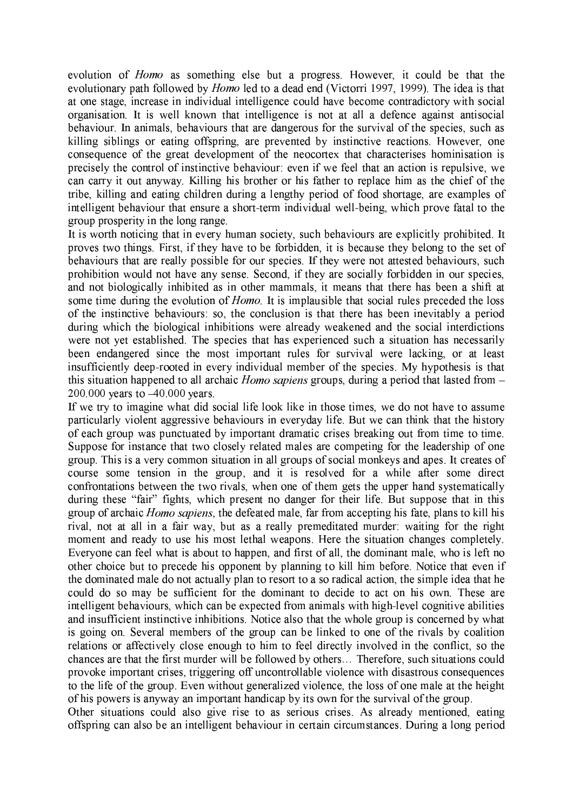evolution of *Homo* as something else but a progress. However, it could be that the evolutionary path followed by *Homo* led to a dead end (Victorri 1997, 1999). The idea is that at one stage, increase in individual intelligence could have become contradictory with social organisation. It is well known that intelligence is not at all a defence against antisocial behaviour. In animals, behaviours that are dangerous for the survival of the species, such as killing siblings or eating offspring, are prevented by instinctive reactions. However, one consequence of the great development of the neocortex that characterises hominisation is precisely the control of instinctive behaviour; even if we feel that an action is repulsive, we can carry it out anyway. Killing his brother or his father to replace him as the chief of the tribe, killing and eating children during a lengthy period of food shortage, are examples of intelligent behaviour that ensure a short-term individual well-being, which prove fatal to the group prosperity in the long range.

It is worth noticing that in every human society, such behaviours are explicitly prohibited. It proves two things. First, if they have to be forbidden, it is because they belong to the set of behaviours that are really possible for our species. If they were not attested behaviours, such prohibition would not have any sense. Second, if they are socially forbidden in our species, and not biologically inhibited as in other mammals, it means that there has been a shift at some time during the evolution of *Homo*. It is implausible that social rules preceded the loss of the instinctive behaviours: so, the conclusion is that there has been inevitably a period during which the biological inhibitions were already weakened and the social interdictions were not vet established. The species that has experienced such a situation has necessarily been endangered since the most important rules for survival were lacking, or at least insufficiently deep-rooted in every individual member of the species. My hypothesis is that this situation happened to all archaic *Homo sapiens* groups, during a period that lasted from  $-$ 200.000 years to  $-40.000$  years.

If we try to imagine what did social life look like in those times, we do not have to assume particularly violent aggressive behaviours in everyday life. But we can think that the history of each group was punctuated by important dramatic crises breaking out from time to time. Suppose for instance that two closely related males are competing for the leadership of one group. This is a very common situation in all groups of social monkeys and apes. It creates of course some tension in the group, and it is resolved for a while after some direct confrontations between the two rivals, when one of them gets the upper hand systematically during these "fair" fights, which present no danger for their life. But suppose that in this group of archaic *Homo sapiens*, the defeated male, far from accepting his fate, plans to kill his rival, not at all in a fair way, but as a really premeditated murder: waiting for the right moment and ready to use his most lethal weapons. Here the situation changes completely. Everyone can feel what is about to happen, and first of all, the dominant male, who is left no other choice but to precede his opponent by planning to kill him before. Notice that even if the dominated male do not actually plan to resort to a so radical action, the simple idea that he could do so may be sufficient for the dominant to decide to act on his own. These are intelligent behaviours, which can be expected from animals with high-level cognitive abilities and insufficient instinctive inhibitions. Notice also that the whole group is concerned by what is going on. Several members of the group can be linked to one of the rivals by coalition relations or affectively close enough to him to feel directly involved in the conflict, so the chances are that the first murder will be followed by others... Therefore, such situations could provoke important crises, triggering off uncontrollable violence with disastrous consequences to the life of the group. Even without generalized violence, the loss of one male at the height of his powers is anyway an important handicap by its own for the survival of the group.

Other situations could also give rise to as serious crises. As already mentioned, eating offspring can also be an intelligent behaviour in certain circumstances. During a long period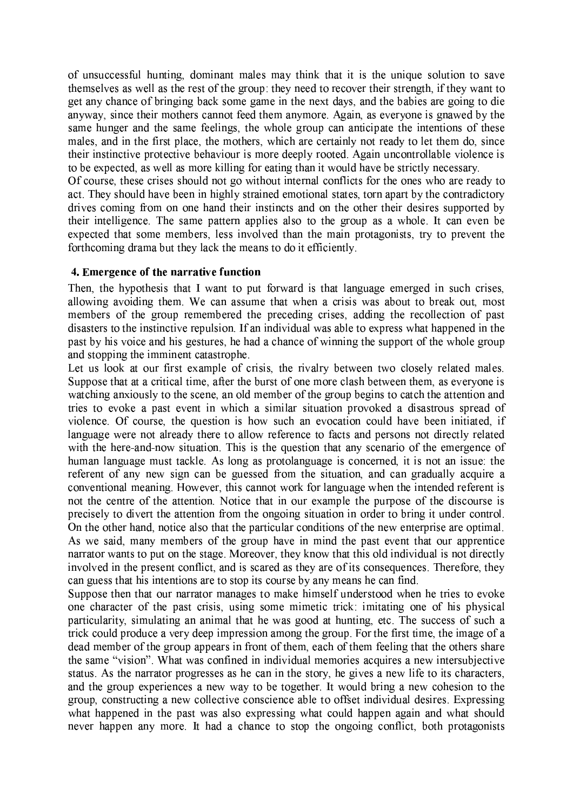of unsuccessful hunting, dominant males may think that it is the unique solution to save themselves as well as the rest of the group: they need to recover their strength, if they want to get any chance of bringing back some game in the next days, and the babies are going to die anyway, since their mothers cannot feed them anymore. Again, as everyone is gnawed by the same hunger and the same feelings, the whole group can anticipate the intentions of these males, and in the first place, the mothers, which are certainly not ready to let them do, since their instinctive protective behaviour is more deeply rooted. Again uncontrollable violence is to be expected, as well as more killing for eating than it would have be strictly necessary.

Of course, these crises should not go without internal conflicts for the ones who are ready to act. They should have been in highly strained emotional states, torn apart by the contradictory drives coming from on one hand their instincts and on the other their desires supported by their intelligence. The same pattern applies also to the group as a whole. It can even be expected that some members, less involved than the main protagonists, try to prevent the forthcoming drama but they lack the means to do it efficiently.

#### 4. Emergence of the narrative function

Then, the hypothesis that I want to put forward is that language emerged in such crises. allowing avoiding them. We can assume that when a crisis was about to break out, most members of the group remembered the preceding crises, adding the recollection of past disasters to the instinctive repulsion. If an individual was able to express what happened in the past by his voice and his gestures, he had a chance of winning the support of the whole group and stopping the imminent catastrophe.

Let us look at our first example of crisis, the rivalry between two closely related males. Suppose that at a critical time, after the burst of one more clash between them, as everyone is watching anxiously to the scene, an old member of the group begins to catch the attention and tries to evoke a past event in which a similar situation provoked a disastrous spread of violence. Of course, the question is how such an evocation could have been initiated, if language were not already there to allow reference to facts and persons not directly related with the here-and-now situation. This is the question that any scenario of the emergence of human language must tackle. As long as protolanguage is concerned, it is not an issue; the referent of any new sign can be guessed from the situation, and can gradually acquire a conventional meaning. However, this cannot work for language when the intended referent is not the centre of the attention. Notice that in our example the purpose of the discourse is precisely to divert the attention from the ongoing situation in order to bring it under control. On the other hand, notice also that the particular conditions of the new enterprise are optimal. As we said, many members of the group have in mind the past event that our apprentice narrator wants to put on the stage. Moreover, they know that this old individual is not directly involved in the present conflict, and is scared as they are of its consequences. Therefore, they can guess that his intentions are to stop its course by any means he can find.

Suppose then that our narrator manages to make himself understood when he tries to evoke one character of the past crisis, using some mimetic trick: imitating one of his physical particularity, simulating an animal that he was good at hunting, etc. The success of such a trick could produce a very deep impression among the group. For the first time, the image of a dead member of the group appears in front of them, each of them feeling that the others share the same "vision". What was confined in individual memories acquires a new intersubjective status. As the narrator progresses as he can in the story, he gives a new life to its characters, and the group experiences a new way to be together. It would bring a new cohesion to the group, constructing a new collective conscience able to offset individual desires. Expressing what happened in the past was also expressing what could happen again and what should never happen any more. It had a chance to stop the ongoing conflict, both protagonists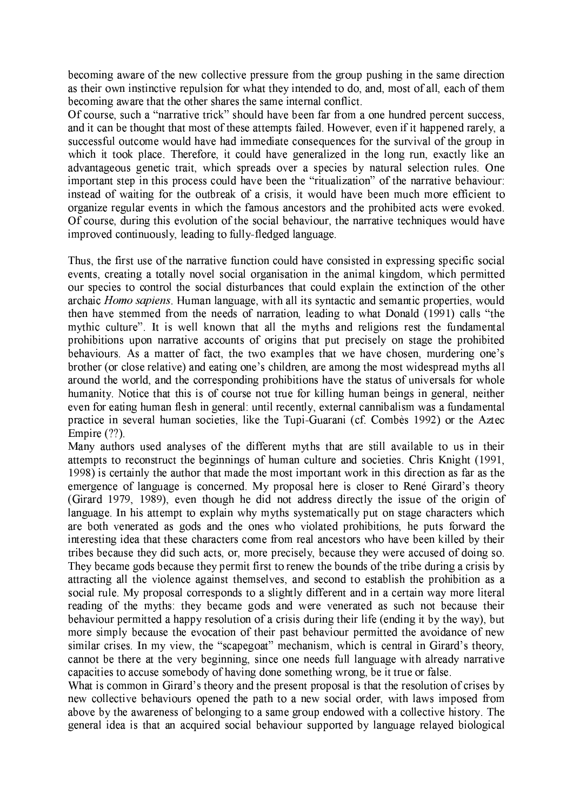becoming aware of the new collective pressure from the group pushing in the same direction as their own instinctive repulsion for what they intended to do, and, most of all, each of them becoming aware that the other shares the same internal conflict.

Of course, such a "narrative trick" should have been far from a one hundred percent success, and it can be thought that most of these attempts failed. However, even if it happened rarely, a successful outcome would have had immediate consequences for the survival of the group in which it took place. Therefore, it could have generalized in the long run, exactly like an advantageous genetic trait, which spreads over a species by natural selection rules. One important step in this process could have been the "ritualization" of the narrative behaviour: instead of waiting for the outbreak of a crisis, it would have been much more efficient to organize regular events in which the famous ancestors and the prohibited acts were evoked. Of course, during this evolution of the social behaviour, the narrative techniques would have improved continuously, leading to fully-fledged language.

Thus, the first use of the narrative function could have consisted in expressing specific social events, creating a totally novel social organisation in the animal kingdom, which permitted our species to control the social disturbances that could explain the extinction of the other archaic *Homo sapiens*. Human language, with all its syntactic and semantic properties, would then have stemmed from the needs of narration, leading to what Donald (1991) calls "the mythic culture". It is well known that all the myths and religions rest the fundamental prohibitions upon narrative accounts of origins that put precisely on stage the prohibited behaviours. As a matter of fact, the two examples that we have chosen, murdering one's brother (or close relative) and eating one's children, are among the most widespread myths all around the world, and the corresponding prohibitions have the status of universals for whole humanity. Notice that this is of course not true for killing human beings in general, neither even for eating human flesh in general: until recently, external cannibalism was a fundamental practice in several human societies, like the Tupi-Guarani (cf. Combès 1992) or the Aztec Empire  $(?)$ .

Many authors used analyses of the different myths that are still available to us in their attempts to reconstruct the beginnings of human culture and societies. Chris Knight (1991, 1998) is certainly the author that made the most important work in this direction as far as the emergence of language is concerned. My proposal here is closer to René Girard's theory (Girard 1979, 1989), even though he did not address directly the issue of the origin of language. In his attempt to explain why myths systematically put on stage characters which are both venerated as gods and the ones who violated prohibitions, he puts forward the interesting idea that these characters come from real ancestors who have been killed by their tribes because they did such acts, or, more precisely, because they were accused of doing so. They became gods because they permit first to renew the bounds of the tribe during a crisis by attracting all the violence against themselves, and second to establish the prohibition as a social rule. My proposal corresponds to a slightly different and in a certain way more literal reading of the myths: they became gods and were venerated as such not because their behaviour permitted a happy resolution of a crisis during their life (ending it by the way), but more simply because the evocation of their past behaviour permitted the avoidance of new similar crises. In my view, the "scapegoat" mechanism, which is central in Girard's theory, cannot be there at the very beginning, since one needs full language with already narrative capacities to accuse somebody of having done something wrong, be it true or false.

What is common in Girard's theory and the present proposal is that the resolution of crises by new collective behaviours opened the path to a new social order, with laws imposed from above by the awareness of belonging to a same group endowed with a collective history. The general idea is that an acquired social behaviour supported by language relayed biological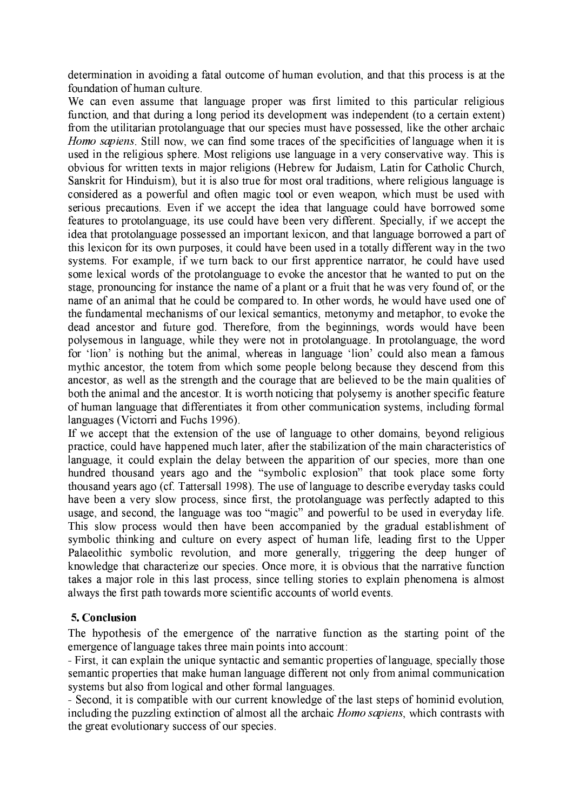determination in avoiding a fatal outcome of human evolution, and that this process is at the foundation of human culture.

We can even assume that language proper was first limited to this particular religious function, and that during a long period its development was independent (to a certain extent) from the utilitarian protolanguage that our species must have possessed, like the other archaic Homo sapiens. Still now, we can find some traces of the specificities of language when it is used in the religious sphere. Most religions use language in a very conservative way. This is obvious for written texts in major religions (Hebrew for Judaism, Latin for Catholic Church, Sanskrit for Hinduism), but it is also true for most oral traditions, where religious language is considered as a powerful and often magic tool or even weapon, which must be used with serious precautions. Even if we accept the idea that language could have borrowed some features to protolanguage, its use could have been very different. Specially, if we accept the idea that protolanguage possessed an important lexicon, and that language borrowed a part of this lexicon for its own purposes, it could have been used in a totally different way in the two systems. For example, if we turn back to our first apprentice narrator, he could have used some lexical words of the protolanguage to evoke the ancestor that he wanted to put on the stage, pronouncing for instance the name of a plant or a fruit that he was very found of, or the name of an animal that he could be compared to. In other words, he would have used one of the fundamental mechanisms of our lexical semantics, metonymy and metaphor, to evoke the dead ancestor and future god. Therefore, from the beginnings, words would have been polysemous in language, while they were not in protolanguage. In protolanguage, the word for 'lion' is nothing but the animal, whereas in language 'lion' could also mean a famous mythic ancestor, the totem from which some people belong because they descend from this ancestor, as well as the strength and the courage that are believed to be the main qualities of both the animal and the ancestor. It is worth noticing that polysemy is another specific feature of human language that differentiates it from other communication systems, including formal languages (Victorri and Fuchs 1996).

If we accept that the extension of the use of language to other domains, beyond religious practice, could have happened much later, after the stabilization of the main characteristics of language, it could explain the delay between the apparition of our species, more than one hundred thousand years ago and the "symbolic explosion" that took place some forty thousand years ago (cf. Tattersall 1998). The use of language to describe everyday tasks could have been a very slow process, since first, the protolanguage was perfectly adapted to this usage, and second, the language was too "magic" and powerful to be used in everyday life. This slow process would then have been accompanied by the gradual establishment of symbolic thinking and culture on every aspect of human life, leading first to the Upper Palaeolithic symbolic revolution, and more generally, triggering the deep hunger of knowledge that characterize our species. Once more, it is obvious that the narrative function takes a major role in this last process, since telling stories to explain phenomena is almost always the first path towards more scientific accounts of world events.

### 5. Conclusion

The hypothesis of the emergence of the narrative function as the starting point of the emergence of language takes three main points into account:

- First, it can explain the unique syntactic and semantic properties of language, specially those semantic properties that make human language different not only from animal communication systems but also from logical and other formal languages.

- Second, it is compatible with our current knowledge of the last steps of hominid evolution, including the puzzling extinction of almost all the archaic *Homo sapiens*, which contrasts with the great evolutionary success of our species.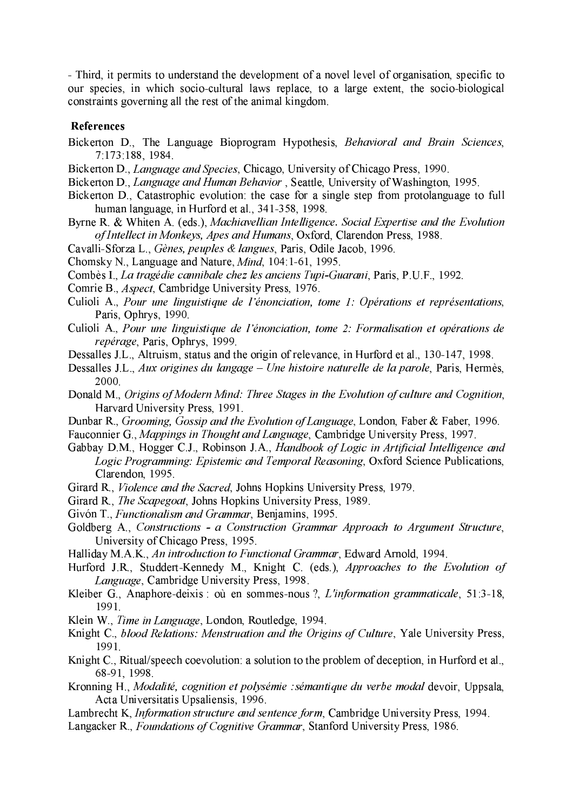- Third, it permits to understand the development of a novel level of organisation, specific to our species, in which socio-cultural laws replace, to a large extent, the socio-biological constraints governing all the rest of the animal kingdom.

#### **References**

- Bickerton D., The Language Bioprogram Hypothesis, Behavioral and Brain Sciences, 7:173:188, 1984.
- Bickerton D., Language and Species, Chicago, University of Chicago Press, 1990.
- Bickerton D., Language and Human Behavior, Seattle, University of Washington, 1995.
- Bickerton D., Catastrophic evolution: the case for a single step from protolanguage to full human language, in Hurford et al., 341-358, 1998.
- Byrne R. & Whiten A. (eds.), Machiavellian Intelligence. Social Expertise and the Evolution of Intellect in Monkeys, Apes and Humans, Oxford, Clarendon Press, 1988.
- Cavalli-Sforza L., Gènes, peuples & langues, Paris, Odile Jacob, 1996.
- Chomsky N., Language and Nature, *Mind*, 104:1-61, 1995.
- Combès I., La tragédie cannibale chez les anciens Tupi-Guarani, Paris, P.U.F., 1992.
- Comrie B., *Aspect*, Cambridge University Press, 1976.
- Culioli A., Pour une linguistique de l'énonciation, tome 1: Opérations et représentations, Paris, Ophrys, 1990.
- Culioli A., Pour une linguistique de l'énonciation, tome 2: Formalisation et opérations de repérage, Paris, Ophrys, 1999.
- Dessalles J.L., Altruism, status and the origin of relevance, in Hurford et al., 130-147, 1998.
- Dessalles J.L., Aux origines du langage Une histoire naturelle de la parole, Paris, Hermès, 2000.
- Donald M., Origins of Modern Mind: Three Stages in the Evolution of culture and Cognition, Harvard University Press, 1991.
- Dunbar R., Grooming, Gossip and the Evolution of Language, London, Faber & Faber, 1996.
- Fauconnier G., Mappings in Thought and Language, Cambridge University Press, 1997.
- Gabbay D.M., Hogger C.J., Robinson J.A., Handbook of Logic in Artificial Intelligence and Logic Programming: Epistemic and Temporal Reasoning, Oxford Science Publications, Clarendon, 1995.
- Girard R., *Violence and the Sacred*, Johns Hopkins University Press, 1979.
- Girard R., The Scapegoat, Johns Hopkins University Press, 1989.
- Givón T., Functionalism and Grammar, Benjamins, 1995.
- Goldberg A., Constructions a Construction Grammar Approach to Argument Structure, University of Chicago Press, 1995.
- Halliday M.A.K., An introduction to Functional Grammar, Edward Arnold, 1994.
- Hurford J.R., Studdert-Kennedy M., Knight C. (eds.), Approaches to the Evolution of Language, Cambridge University Press, 1998.
- Kleiber G., Anaphore-deixis: où en sommes-nous?, L'information grammaticale, 51:3-18, 1991.
- Klein W., Time in Language, London, Routledge, 1994.
- Knight C., blood Relations: Menstruation and the Origins of Culture, Yale University Press, 1991.
- Knight C., Ritual/speech coevolution: a solution to the problem of deception, in Hurford et al., 68-91, 1998.
- Kronning H., Modalité, cognition et polysémie : sémantique du verbe modal devoir, Uppsala, Acta Universitatis Upsaliensis, 1996.
- Lambrecht K, *Information structure and sentence form*, Cambridge University Press, 1994.
- Langacker R., Foundations of Cognitive Grammar, Stanford University Press, 1986.